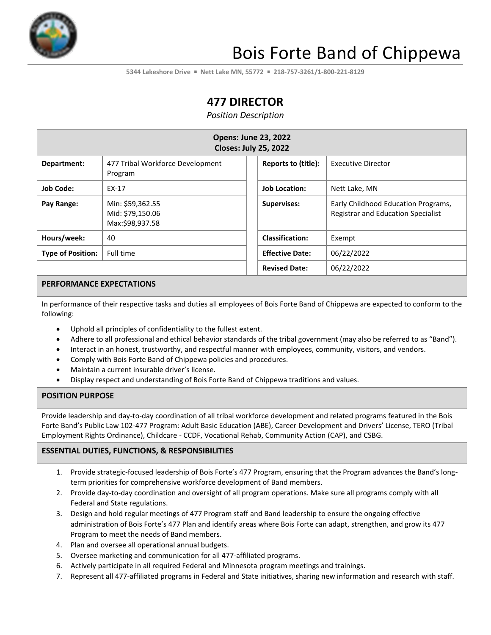

# Bois Forte Band of Chippewa

**5344 Lakeshore Drive** ▪ **Nett Lake MN, 55772** ▪ **218-757-3261/1-800-221-8129**

# **477 DIRECTOR**

*Position Description*

| <b>Opens: June 23, 2022</b><br><b>Closes: July 25, 2022</b> |                                                         |                        |                                                                                  |  |
|-------------------------------------------------------------|---------------------------------------------------------|------------------------|----------------------------------------------------------------------------------|--|
| Department:                                                 | 477 Tribal Workforce Development<br>Program             | Reports to (title):    | Executive Director                                                               |  |
| <b>Job Code:</b>                                            | EX-17                                                   | <b>Job Location:</b>   | Nett Lake, MN                                                                    |  |
| Pay Range:                                                  | Min: \$59,362.55<br>Mid: \$79,150.06<br>Max:\$98,937.58 | <b>Supervises:</b>     | Early Childhood Education Programs,<br><b>Registrar and Education Specialist</b> |  |
| Hours/week:                                                 | 40                                                      | <b>Classification:</b> | Exempt                                                                           |  |
| <b>Type of Position:</b>                                    | Full time                                               | <b>Effective Date:</b> | 06/22/2022                                                                       |  |
|                                                             |                                                         | <b>Revised Date:</b>   | 06/22/2022                                                                       |  |

#### **PERFORMANCE EXPECTATIONS**

In performance of their respective tasks and duties all employees of Bois Forte Band of Chippewa are expected to conform to the following:

- Uphold all principles of confidentiality to the fullest extent.
- Adhere to all professional and ethical behavior standards of the tribal government (may also be referred to as "Band").
- Interact in an honest, trustworthy, and respectful manner with employees, community, visitors, and vendors.
- Comply with Bois Forte Band of Chippewa policies and procedures.
- Maintain a current insurable driver's license.
- Display respect and understanding of Bois Forte Band of Chippewa traditions and values.

#### **POSITION PURPOSE**

Provide leadership and day-to-day coordination of all tribal workforce development and related programs featured in the Bois Forte Band's Public Law 102-477 Program: Adult Basic Education (ABE), Career Development and Drivers' License, TERO (Tribal Employment Rights Ordinance), Childcare - CCDF, Vocational Rehab, Community Action (CAP), and CSBG.

#### **ESSENTIAL DUTIES, FUNCTIONS, & RESPONSIBILITIES**

- 1. Provide strategic-focused leadership of Bois Forte's 477 Program, ensuring that the Program advances the Band's longterm priorities for comprehensive workforce development of Band members.
- 2. Provide day-to-day coordination and oversight of all program operations. Make sure all programs comply with all Federal and State regulations.
- 3. Design and hold regular meetings of 477 Program staff and Band leadership to ensure the ongoing effective administration of Bois Forte's 477 Plan and identify areas where Bois Forte can adapt, strengthen, and grow its 477 Program to meet the needs of Band members.
- 4. Plan and oversee all operational annual budgets.
- 5. Oversee marketing and communication for all 477-affiliated programs.
- 6. Actively participate in all required Federal and Minnesota program meetings and trainings.
- 7. Represent all 477-affiliated programs in Federal and State initiatives, sharing new information and research with staff.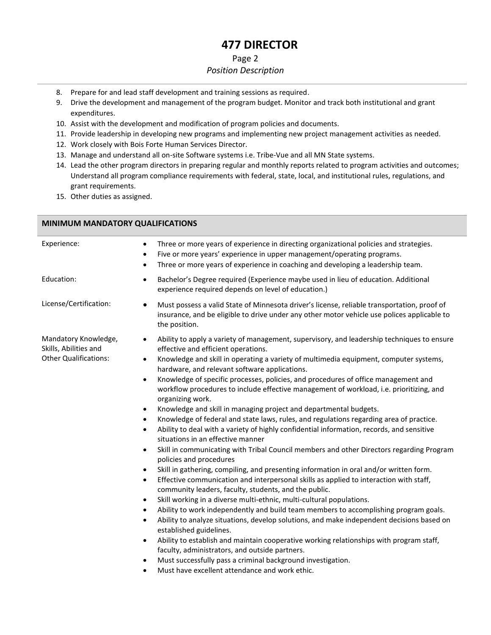# **477 DIRECTOR**

#### Page 2

#### *Position Description*

- 8. Prepare for and lead staff development and training sessions as required.
- 9. Drive the development and management of the program budget. Monitor and track both institutional and grant expenditures.
- 10. Assist with the development and modification of program policies and documents.
- 11. Provide leadership in developing new programs and implementing new project management activities as needed.
- 12. Work closely with Bois Forte Human Services Director.
- 13. Manage and understand all on-site Software systems i.e. Tribe-Vue and all MN State systems.
- 14. Lead the other program directors in preparing regular and monthly reports related to program activities and outcomes; Understand all program compliance requirements with federal, state, local, and institutional rules, regulations, and grant requirements.
- 15. Other duties as assigned.

#### **MINIMUM MANDATORY QUALIFICATIONS** Experience: • • Three or more years of experience in directing organizational policies and strategies. • Five or more years' experience in upper management/operating programs. Three or more years of experience in coaching and developing a leadership team. Education: • Bachelor's Degree required (Experience maybe used in lieu of education. Additional experience required depends on level of education.) License/Certification: • • Must possess a valid State of Minnesota driver's license, reliable transportation, proof of insurance, and be eligible to drive under any other motor vehicle use polices applicable to the position. Mandatory Knowledge, Skills, Abilities and Other Qualifications: • Ability to apply a variety of management, supervisory, and leadership techniques to ensure effective and efficient operations. • Knowledge and skill in operating a variety of multimedia equipment, computer systems, hardware, and relevant software applications. • Knowledge of specific processes, policies, and procedures of office management and workflow procedures to include effective management of workload, i.e. prioritizing, and organizing work. • Knowledge and skill in managing project and departmental budgets. • Knowledge of federal and state laws, rules, and regulations regarding area of practice. • Ability to deal with a variety of highly confidential information, records, and sensitive situations in an effective manner • Skill in communicating with Tribal Council members and other Directors regarding Program policies and procedures • Skill in gathering, compiling, and presenting information in oral and/or written form. • Effective communication and interpersonal skills as applied to interaction with staff, community leaders, faculty, students, and the public. Skill working in a diverse multi-ethnic, multi-cultural populations. • Ability to work independently and build team members to accomplishing program goals. • Ability to analyze situations, develop solutions, and make independent decisions based on established guidelines. • Ability to establish and maintain cooperative working relationships with program staff, faculty, administrators, and outside partners. • Must successfully pass a criminal background investigation. • Must have excellent attendance and work ethic.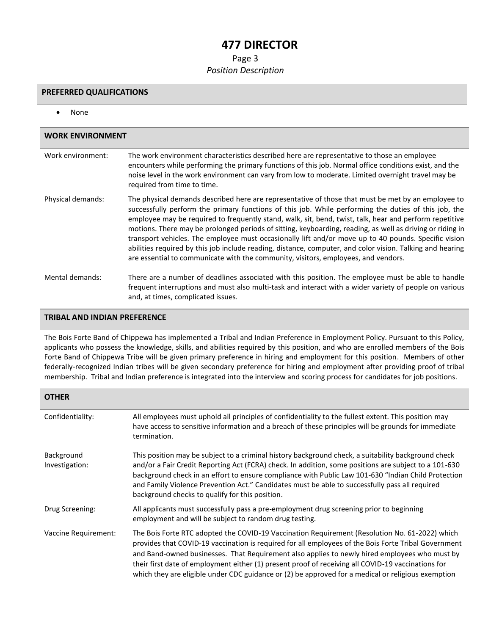## **477 DIRECTOR**

#### Page 3

#### *Position Description*

#### **PREFERRED QUALIFICATIONS**

• None

| <b>WORK ENVIRONMENT</b> |                                                                                                                                                                                                                                                                                                                                                                                                                                                                                                                                                                                                                                                                                                                                               |  |
|-------------------------|-----------------------------------------------------------------------------------------------------------------------------------------------------------------------------------------------------------------------------------------------------------------------------------------------------------------------------------------------------------------------------------------------------------------------------------------------------------------------------------------------------------------------------------------------------------------------------------------------------------------------------------------------------------------------------------------------------------------------------------------------|--|
| Work environment:       | The work environment characteristics described here are representative to those an employee<br>encounters while performing the primary functions of this job. Normal office conditions exist, and the<br>noise level in the work environment can vary from low to moderate. Limited overnight travel may be<br>required from time to time.                                                                                                                                                                                                                                                                                                                                                                                                    |  |
| Physical demands:       | The physical demands described here are representative of those that must be met by an employee to<br>successfully perform the primary functions of this job. While performing the duties of this job, the<br>employee may be required to frequently stand, walk, sit, bend, twist, talk, hear and perform repetitive<br>motions. There may be prolonged periods of sitting, keyboarding, reading, as well as driving or riding in<br>transport vehicles. The employee must occasionally lift and/or move up to 40 pounds. Specific vision<br>abilities required by this job include reading, distance, computer, and color vision. Talking and hearing<br>are essential to communicate with the community, visitors, employees, and vendors. |  |
| Mental demands:         | There are a number of deadlines associated with this position. The employee must be able to handle<br>frequent interruptions and must also multi-task and interact with a wider variety of people on various<br>and, at times, complicated issues.                                                                                                                                                                                                                                                                                                                                                                                                                                                                                            |  |

#### **TRIBAL AND INDIAN PREFERENCE**

The Bois Forte Band of Chippewa has implemented a Tribal and Indian Preference in Employment Policy. Pursuant to this Policy, applicants who possess the knowledge, skills, and abilities required by this position, and who are enrolled members of the Bois Forte Band of Chippewa Tribe will be given primary preference in hiring and employment for this position. Members of other federally-recognized Indian tribes will be given secondary preference for hiring and employment after providing proof of tribal membership. Tribal and Indian preference is integrated into the interview and scoring process for candidates for job positions.

| <b>OTHER</b>                 |                                                                                                                                                                                                                                                                                                                                                                                                                                                                                                                     |
|------------------------------|---------------------------------------------------------------------------------------------------------------------------------------------------------------------------------------------------------------------------------------------------------------------------------------------------------------------------------------------------------------------------------------------------------------------------------------------------------------------------------------------------------------------|
| Confidentiality:             | All employees must uphold all principles of confidentiality to the fullest extent. This position may<br>have access to sensitive information and a breach of these principles will be grounds for immediate<br>termination.                                                                                                                                                                                                                                                                                         |
| Background<br>Investigation: | This position may be subject to a criminal history background check, a suitability background check<br>and/or a Fair Credit Reporting Act (FCRA) check. In addition, some positions are subject to a 101-630<br>background check in an effort to ensure compliance with Public Law 101-630 "Indian Child Protection<br>and Family Violence Prevention Act." Candidates must be able to successfully pass all required<br>background checks to qualify for this position.                                            |
| Drug Screening:              | All applicants must successfully pass a pre-employment drug screening prior to beginning<br>employment and will be subject to random drug testing.                                                                                                                                                                                                                                                                                                                                                                  |
| Vaccine Requirement:         | The Bois Forte RTC adopted the COVID-19 Vaccination Requirement (Resolution No. 61-2022) which<br>provides that COVID-19 vaccination is required for all employees of the Bois Forte Tribal Government<br>and Band-owned businesses. That Requirement also applies to newly hired employees who must by<br>their first date of employment either (1) present proof of receiving all COVID-19 vaccinations for<br>which they are eligible under CDC guidance or (2) be approved for a medical or religious exemption |